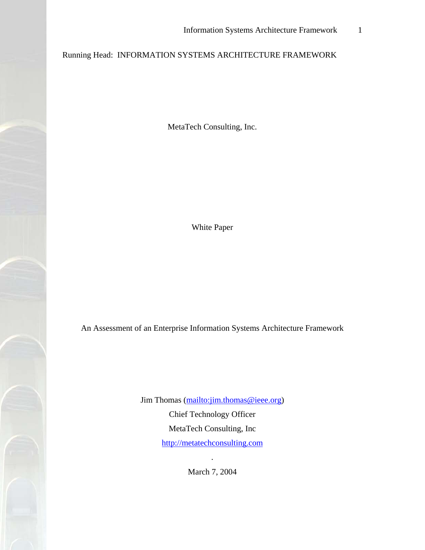## Running Head: INFORMATION SYSTEMS ARCHITECTURE FRAMEWORK

MetaTech Consulting, Inc.

White Paper

An Assessment of an Enterprise Information Systems Architecture Framework

Jim Thomas [\(mailto:jim.thomas@ieee.org\)](mailto:jim.thomas@ieee.org) Chief Technology Officer MetaTech Consulting, Inc [http://metatechconsulting.com](http://metatechconsulting.com/) 

March 7, 2004

.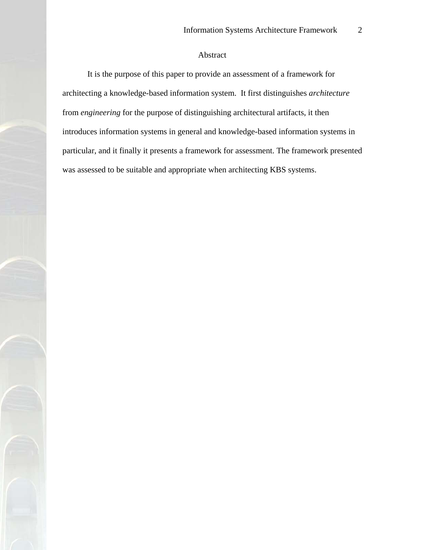## Abstract

<span id="page-1-0"></span>It is the purpose of this paper to provide an assessment of a framework for architecting a knowledge-based information system. It first distinguishes *architecture* from *engineering* for the purpose of distinguishing architectural artifacts, it then introduces information systems in general and knowledge-based information systems in particular, and it finally it presents a framework for assessment. The framework presented was assessed to be suitable and appropriate when architecting KBS systems.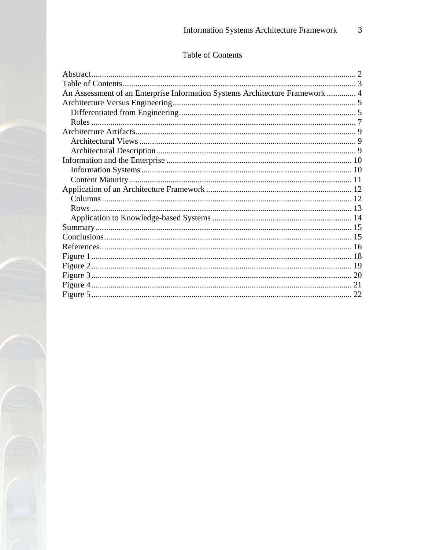## Table of Contents

<span id="page-2-0"></span>

| An Assessment of an Enterprise Information Systems Architecture Framework  4 |  |
|------------------------------------------------------------------------------|--|
|                                                                              |  |
|                                                                              |  |
|                                                                              |  |
|                                                                              |  |
|                                                                              |  |
|                                                                              |  |
|                                                                              |  |
|                                                                              |  |
|                                                                              |  |
|                                                                              |  |
|                                                                              |  |
|                                                                              |  |
|                                                                              |  |
|                                                                              |  |
|                                                                              |  |
|                                                                              |  |
|                                                                              |  |
|                                                                              |  |
|                                                                              |  |
|                                                                              |  |
|                                                                              |  |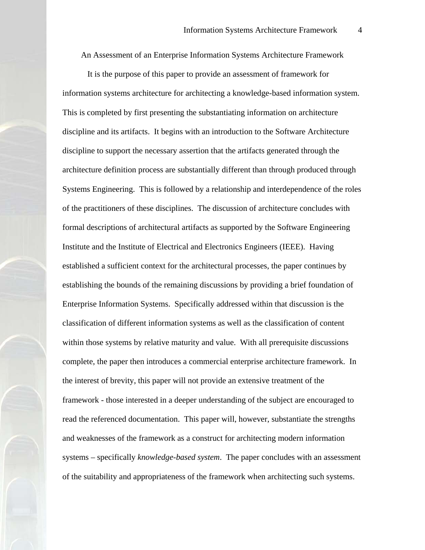An Assessment of an Enterprise Information Systems Architecture Framework

<span id="page-3-0"></span>It is the purpose of this paper to provide an assessment of framework for information systems architecture for architecting a knowledge-based information system. This is completed by first presenting the substantiating information on architecture discipline and its artifacts. It begins with an introduction to the Software Architecture discipline to support the necessary assertion that the artifacts generated through the architecture definition process are substantially different than through produced through Systems Engineering. This is followed by a relationship and interdependence of the roles of the practitioners of these disciplines. The discussion of architecture concludes with formal descriptions of architectural artifacts as supported by the Software Engineering Institute and the Institute of Electrical and Electronics Engineers (IEEE). Having established a sufficient context for the architectural processes, the paper continues by establishing the bounds of the remaining discussions by providing a brief foundation of Enterprise Information Systems. Specifically addressed within that discussion is the classification of different information systems as well as the classification of content within those systems by relative maturity and value. With all prerequisite discussions complete, the paper then introduces a commercial enterprise architecture framework. In the interest of brevity, this paper will not provide an extensive treatment of the framework - those interested in a deeper understanding of the subject are encouraged to read the referenced documentation. This paper will, however, substantiate the strengths and weaknesses of the framework as a construct for architecting modern information systems – specifically *knowledge-based system*. The paper concludes with an assessment of the suitability and appropriateness of the framework when architecting such systems.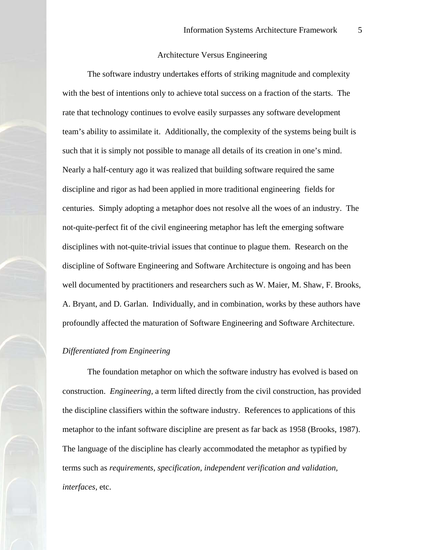## Architecture Versus Engineering

<span id="page-4-0"></span>The software industry undertakes efforts of striking magnitude and complexity with the best of intentions only to achieve total success on a fraction of the starts. The rate that technology continues to evolve easily surpasses any software development team's ability to assimilate it. Additionally, the complexity of the systems being built is such that it is simply not possible to manage all details of its creation in one's mind. Nearly a half-century ago it was realized that building software required the same discipline and rigor as had been applied in more traditional engineering fields for centuries. Simply adopting a metaphor does not resolve all the woes of an industry. The not-quite-perfect fit of the civil engineering metaphor has left the emerging software disciplines with not-quite-trivial issues that continue to plague them. Research on the discipline of Software Engineering and Software Architecture is ongoing and has been well documented by practitioners and researchers such as W. Maier, M. Shaw, F. Brooks, A. Bryant, and D. Garlan. Individually, and in combination, works by these authors have profoundly affected the maturation of Software Engineering and Software Architecture.

## *Differentiated from Engineering*

The foundation metaphor on which the software industry has evolved is based on construction. *Engineering,* a term lifted directly from the civil construction, has provided the discipline classifiers within the software industry. References to applications of this metaphor to the infant software discipline are present as far back as 1958 (Brooks, 1987). The language of the discipline has clearly accommodated the metaphor as typified by terms such as *requirements, specification, independent verification and validation, interfaces,* etc.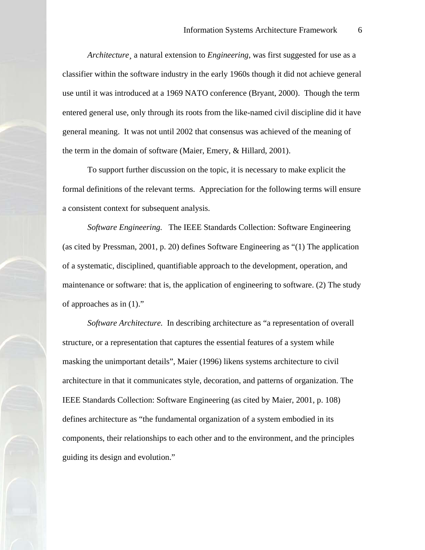*Architecture¸* a natural extension to *Engineering,* was first suggested for use as a classifier within the software industry in the early 1960s though it did not achieve general use until it was introduced at a 1969 NATO conference (Bryant, 2000). Though the term entered general use, only through its roots from the like-named civil discipline did it have general meaning. It was not until 2002 that consensus was achieved of the meaning of the term in the domain of software (Maier, Emery, & Hillard, 2001).

To support further discussion on the topic, it is necessary to make explicit the formal definitions of the relevant terms. Appreciation for the following terms will ensure a consistent context for subsequent analysis.

*Software Engineering.* The IEEE Standards Collection: Software Engineering (as cited by Pressman, 2001, p. 20) defines Software Engineering as "(1) The application of a systematic, disciplined, quantifiable approach to the development, operation, and maintenance or software: that is, the application of engineering to software. (2) The study of approaches as in (1)."

*Software Architecture.* In describing architecture as "a representation of overall structure, or a representation that captures the essential features of a system while masking the unimportant details", Maier (1996) likens systems architecture to civil architecture in that it communicates style, decoration, and patterns of organization. The IEEE Standards Collection: Software Engineering (as cited by Maier, 2001, p. 108) defines architecture as "the fundamental organization of a system embodied in its components, their relationships to each other and to the environment, and the principles guiding its design and evolution."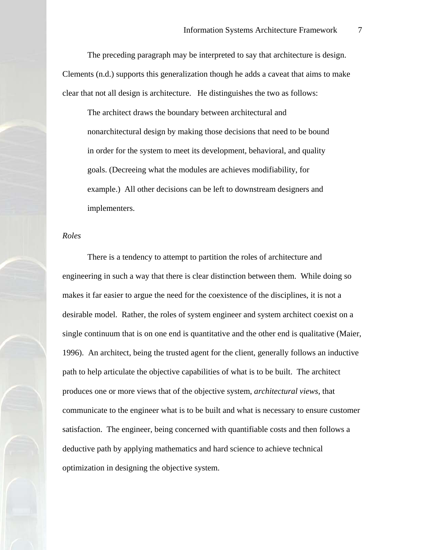<span id="page-6-0"></span>The preceding paragraph may be interpreted to say that architecture is design. Clements (n.d.) supports this generalization though he adds a caveat that aims to make clear that not all design is architecture. He distinguishes the two as follows:

The architect draws the boundary between architectural and nonarchitectural design by making those decisions that need to be bound in order for the system to meet its development, behavioral, and quality goals. (Decreeing what the modules are achieves modifiability, for example.) All other decisions can be left to downstream designers and implementers.

#### *Roles*

There is a tendency to attempt to partition the roles of architecture and engineering in such a way that there is clear distinction between them. While doing so makes it far easier to argue the need for the coexistence of the disciplines, it is not a desirable model. Rather, the roles of system engineer and system architect coexist on a single continuum that is on one end is quantitative and the other end is qualitative (Maier, 1996). An architect, being the trusted agent for the client, generally follows an inductive path to help articulate the objective capabilities of what is to be built. The architect produces one or more views that of the objective system, *architectural views*, that communicate to the engineer what is to be built and what is necessary to ensure customer satisfaction. The engineer, being concerned with quantifiable costs and then follows a deductive path by applying mathematics and hard science to achieve technical optimization in designing the objective system.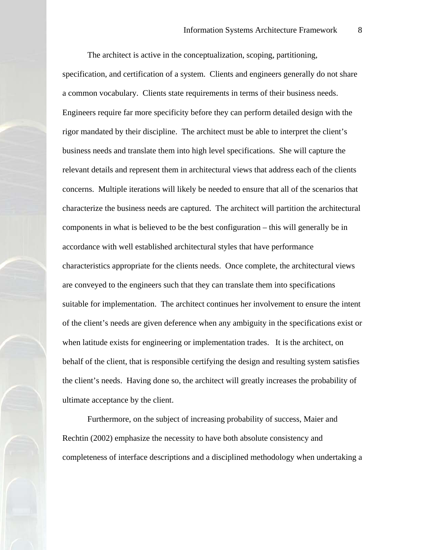The architect is active in the conceptualization, scoping, partitioning, specification, and certification of a system. Clients and engineers generally do not share a common vocabulary. Clients state requirements in terms of their business needs. Engineers require far more specificity before they can perform detailed design with the rigor mandated by their discipline. The architect must be able to interpret the client's business needs and translate them into high level specifications. She will capture the relevant details and represent them in architectural views that address each of the clients concerns. Multiple iterations will likely be needed to ensure that all of the scenarios that characterize the business needs are captured. The architect will partition the architectural components in what is believed to be the best configuration – this will generally be in accordance with well established architectural styles that have performance characteristics appropriate for the clients needs. Once complete, the architectural views are conveyed to the engineers such that they can translate them into specifications suitable for implementation. The architect continues her involvement to ensure the intent of the client's needs are given deference when any ambiguity in the specifications exist or when latitude exists for engineering or implementation trades. It is the architect, on behalf of the client, that is responsible certifying the design and resulting system satisfies the client's needs. Having done so, the architect will greatly increases the probability of ultimate acceptance by the client.

Furthermore, on the subject of increasing probability of success, Maier and Rechtin (2002) emphasize the necessity to have both absolute consistency and completeness of interface descriptions and a disciplined methodology when undertaking a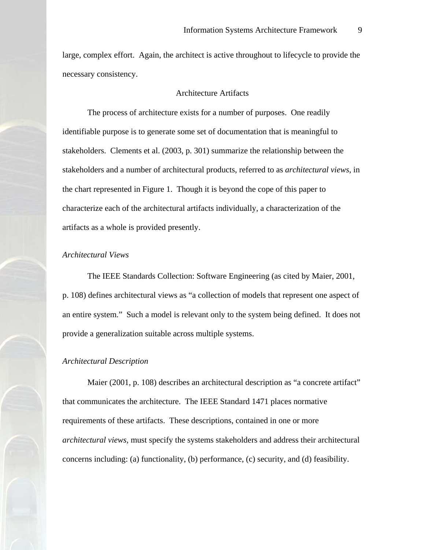<span id="page-8-0"></span>large, complex effort. Again, the architect is active throughout to lifecycle to provide the necessary consistency.

## Architecture Artifacts

The process of architecture exists for a number of purposes. One readily identifiable purpose is to generate some set of documentation that is meaningful to stakeholders. Clements et al. (2003, p. 301) summarize the relationship between the stakeholders and a number of architectural products, referred to as *architectural views*, in the chart represented in Figure 1. Though it is beyond the cope of this paper to characterize each of the architectural artifacts individually, a characterization of the artifacts as a whole is provided presently.

## *Architectural Views*

The IEEE Standards Collection: Software Engineering (as cited by Maier, 2001, p. 108) defines architectural views as "a collection of models that represent one aspect of an entire system." Such a model is relevant only to the system being defined. It does not provide a generalization suitable across multiple systems.

#### *Architectural Description*

Maier (2001, p. 108) describes an architectural description as "a concrete artifact" that communicates the architecture. The IEEE Standard 1471 places normative requirements of these artifacts. These descriptions, contained in one or more *architectural views*, must specify the systems stakeholders and address their architectural concerns including: (a) functionality, (b) performance, (c) security, and (d) feasibility.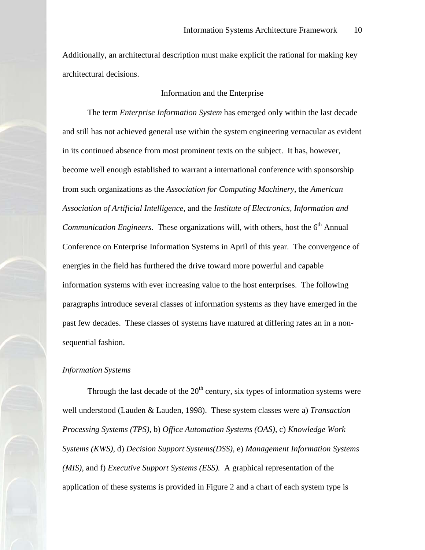<span id="page-9-0"></span>Additionally, an architectural description must make explicit the rational for making key architectural decisions.

### Information and the Enterprise

The term *Enterprise Information System* has emerged only within the last decade and still has not achieved general use within the system engineering vernacular as evident in its continued absence from most prominent texts on the subject. It has, however, become well enough established to warrant a international conference with sponsorship from such organizations as the *Association for Computing Machinery*, the *American Association of Artificial Intelligence*, and the *Institute of Electronics, Information and Communication Engineers.* These organizations will, with others, host the 6<sup>th</sup> Annual Conference on Enterprise Information Systems in April of this year. The convergence of energies in the field has furthered the drive toward more powerful and capable information systems with ever increasing value to the host enterprises. The following paragraphs introduce several classes of information systems as they have emerged in the past few decades. These classes of systems have matured at differing rates an in a nonsequential fashion.

## *Information Systems*

Through the last decade of the  $20<sup>th</sup>$  century, six types of information systems were well understood (Lauden & Lauden, 1998). These system classes were a) *Transaction Processing Systems (TPS)*, b) *Office Automation Systems (OAS)*, c) *Knowledge Work Systems (KWS)*, d) *Decision Support Systems(DSS)*, e) *Management Information Systems (MIS)*, and f) *Executive Support Systems (ESS).* A graphical representation of the application of these systems is provided in Figure 2 and a chart of each system type is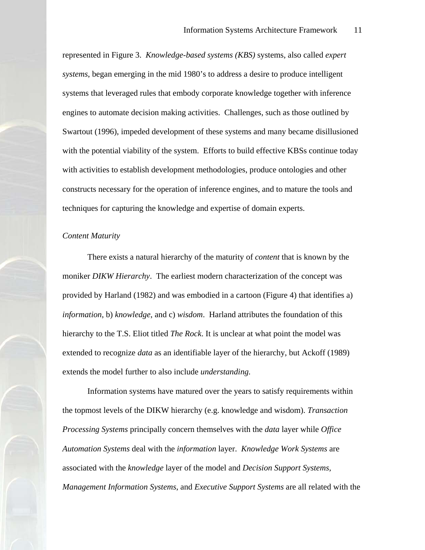<span id="page-10-0"></span>represented in Figure 3. *Knowledge-based systems (KBS)* systems, also called *expert systems*, began emerging in the mid 1980's to address a desire to produce intelligent systems that leveraged rules that embody corporate knowledge together with inference engines to automate decision making activities. Challenges, such as those outlined by Swartout (1996), impeded development of these systems and many became disillusioned with the potential viability of the system. Efforts to build effective KBSs continue today with activities to establish development methodologies, produce ontologies and other constructs necessary for the operation of inference engines, and to mature the tools and techniques for capturing the knowledge and expertise of domain experts.

#### *Content Maturity*

There exists a natural hierarchy of the maturity of *content* that is known by the moniker *DIKW Hierarchy*. The earliest modern characterization of the concept was provided by Harland (1982) and was embodied in a cartoon (Figure 4) that identifies a) *information*, b) *knowledge*, and c) *wisdom*. Harland attributes the foundation of this hierarchy to the T.S. Eliot titled *The Rock*. It is unclear at what point the model was extended to recognize *data* as an identifiable layer of the hierarchy, but Ackoff (1989) extends the model further to also include *understanding.*

Information systems have matured over the years to satisfy requirements within the topmost levels of the DIKW hierarchy (e.g. knowledge and wisdom). *Transaction Processing Systems* principally concern themselves with the *data* layer while *Office Automation Systems* deal with the *information* layer. *Knowledge Work Systems* are associated with the *knowledge* layer of the model and *Decision Support Systems, Management Information Systems*, and *Executive Support Systems* are all related with the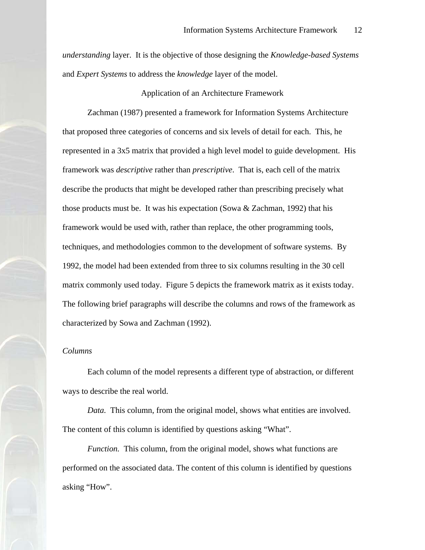<span id="page-11-0"></span>*understanding* layer. It is the objective of those designing the *Knowledge-based Systems*  and *Expert Systems* to address the *knowledge* layer of the model.

Application of an Architecture Framework

Zachman (1987) presented a framework for Information Systems Architecture that proposed three categories of concerns and six levels of detail for each. This, he represented in a 3x5 matrix that provided a high level model to guide development. His framework was *descriptive* rather than *prescriptive*. That is, each cell of the matrix describe the products that might be developed rather than prescribing precisely what those products must be. It was his expectation (Sowa  $& Zachman$ , 1992) that his framework would be used with, rather than replace, the other programming tools, techniques, and methodologies common to the development of software systems. By 1992, the model had been extended from three to six columns resulting in the 30 cell matrix commonly used today. Figure 5 depicts the framework matrix as it exists today. The following brief paragraphs will describe the columns and rows of the framework as characterized by Sowa and Zachman (1992).

## *Columns*

Each column of the model represents a different type of abstraction, or different ways to describe the real world.

*Data.* This column, from the original model, shows what entities are involved. The content of this column is identified by questions asking "What".

*Function.* This column, from the original model, shows what functions are performed on the associated data. The content of this column is identified by questions asking "How".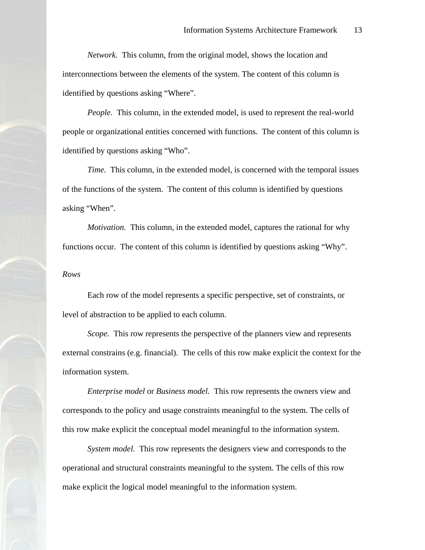<span id="page-12-0"></span>*Network.* This column, from the original model, shows the location and interconnections between the elements of the system. The content of this column is identified by questions asking "Where".

*People.* This column, in the extended model, is used to represent the real-world people or organizational entities concerned with functions. The content of this column is identified by questions asking "Who".

*Time.* This column, in the extended model, is concerned with the temporal issues of the functions of the system. The content of this column is identified by questions asking "When".

*Motivation.* This column, in the extended model, captures the rational for why functions occur. The content of this column is identified by questions asking "Why".

*Rows* 

Each row of the model represents a specific perspective, set of constraints, or level of abstraction to be applied to each column.

*Scope.* This row represents the perspective of the planners view and represents external constrains (e.g. financial). The cells of this row make explicit the context for the information system.

*Enterprise model* or *Business model.* This row represents the owners view and corresponds to the policy and usage constraints meaningful to the system. The cells of this row make explicit the conceptual model meaningful to the information system.

*System model.* This row represents the designers view and corresponds to the operational and structural constraints meaningful to the system. The cells of this row make explicit the logical model meaningful to the information system.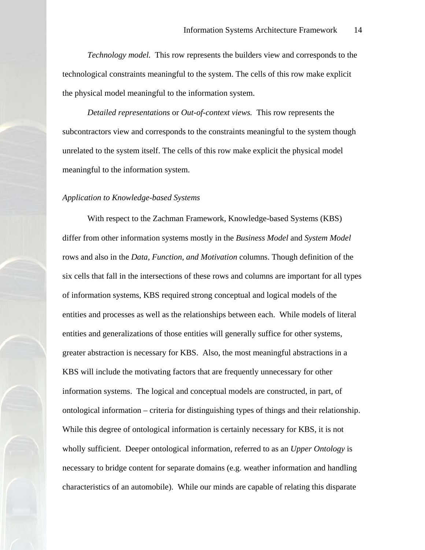<span id="page-13-0"></span>*Technology model.* This row represents the builders view and corresponds to the technological constraints meaningful to the system. The cells of this row make explicit the physical model meaningful to the information system.

*Detailed representations* or *Out-of-context views.* This row represents the subcontractors view and corresponds to the constraints meaningful to the system though unrelated to the system itself. The cells of this row make explicit the physical model meaningful to the information system.

#### *Application to Knowledge-based Systems*

With respect to the Zachman Framework, Knowledge-based Systems (KBS) differ from other information systems mostly in the *Business Model* and *System Model*  rows and also in the *Data, Function, and Motivation* columns. Though definition of the six cells that fall in the intersections of these rows and columns are important for all types of information systems, KBS required strong conceptual and logical models of the entities and processes as well as the relationships between each. While models of literal entities and generalizations of those entities will generally suffice for other systems, greater abstraction is necessary for KBS. Also, the most meaningful abstractions in a KBS will include the motivating factors that are frequently unnecessary for other information systems. The logical and conceptual models are constructed, in part, of ontological information – criteria for distinguishing types of things and their relationship. While this degree of ontological information is certainly necessary for KBS, it is not wholly sufficient. Deeper ontological information, referred to as an *Upper Ontology* is necessary to bridge content for separate domains (e.g. weather information and handling characteristics of an automobile). While our minds are capable of relating this disparate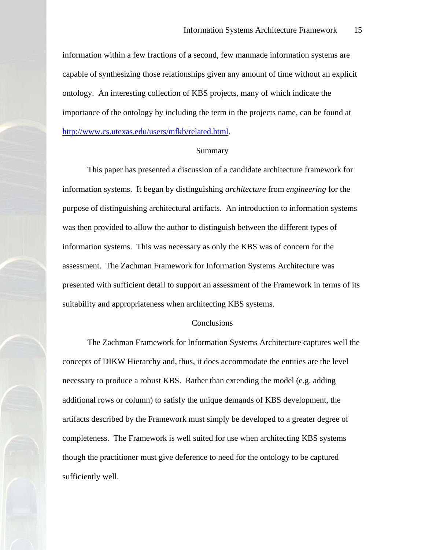<span id="page-14-0"></span>information within a few fractions of a second, few manmade information systems are capable of synthesizing those relationships given any amount of time without an explicit ontology. An interesting collection of KBS projects, many of which indicate the importance of the ontology by including the term in the projects name, can be found at <http://www.cs.utexas.edu/users/mfkb/related.html>.

## Summary

This paper has presented a discussion of a candidate architecture framework for information systems. It began by distinguishing *architecture* from *engineering* for the purpose of distinguishing architectural artifacts. An introduction to information systems was then provided to allow the author to distinguish between the different types of information systems. This was necessary as only the KBS was of concern for the assessment. The Zachman Framework for Information Systems Architecture was presented with sufficient detail to support an assessment of the Framework in terms of its suitability and appropriateness when architecting KBS systems.

#### Conclusions

The Zachman Framework for Information Systems Architecture captures well the concepts of DIKW Hierarchy and, thus, it does accommodate the entities are the level necessary to produce a robust KBS. Rather than extending the model (e.g. adding additional rows or column) to satisfy the unique demands of KBS development, the artifacts described by the Framework must simply be developed to a greater degree of completeness. The Framework is well suited for use when architecting KBS systems though the practitioner must give deference to need for the ontology to be captured sufficiently well.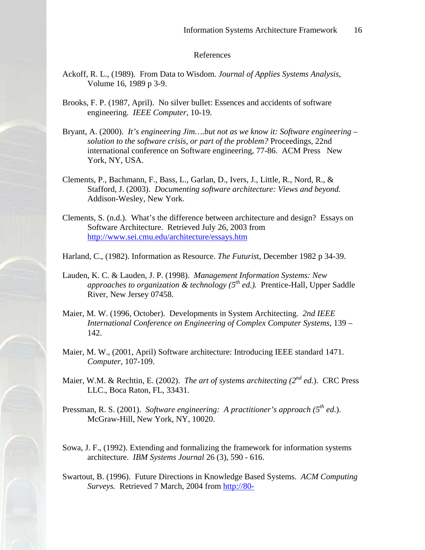### References

- <span id="page-15-0"></span>Ackoff, R. L., (1989). From Data to Wisdom. *Journal of Applies Systems Analysis*, Volume 16, 1989 p 3-9.
- Brooks, F. P. (1987, April). No silver bullet: Essences and accidents of software engineering. *IEEE Computer*, 10-19.
- Bryant, A. (2000). *It's engineering Jim….but not as we know it: Software engineering solution to the software crisis, or part of the problem?* Proceedings, 22nd international conference on Software engineering, 77-86. ACM Press New York, NY, USA.
- Clements, P., Bachmann, F., Bass, L., Garlan, D., Ivers, J., Little, R., Nord, R., & Stafford, J. (2003). *Documenting software architecture: Views and beyond.* Addison-Wesley, New York.
- Clements, S. (n.d.). What's the difference between architecture and design? Essays on Software Architecture. Retrieved July 26, 2003 from <http://www.sei.cmu.edu/architecture/essays.htm>
- Harland, C., (1982). Information as Resource. *The Futuris*t, December 1982 p 34-39.
- Lauden, K. C. & Lauden, J. P. (1998). *Management Information Systems: New approaches to organization & technology (5th ed.).* Prentice-Hall, Upper Saddle River, New Jersey 07458.
- Maier, M. W. (1996, October). Developments in System Architecting. *2nd IEEE International Conference on Engineering of Complex Computer Systems*, 139 – 142.
- Maier, M. W., (2001, April) Software architecture: Introducing IEEE standard 1471. *Computer*, 107-109.
- Maier, W.M. & Rechtin, E. (2002). *The art of systems architecting (2nd ed.*). CRC Press LLC., Boca Raton, FL, 33431.
- Pressman, R. S. (2001). *Software engineering: A practitioner's approach (5th ed*.). McGraw-Hill, New York, NY, 10020.
- Sowa, J. F., (1992). Extending and formalizing the framework for information systems architecture. *IBM Systems Journal* 26 (3), 590 - 616.
- Swartout, B. (1996). Future Directions in Knowledge Based Systems. *ACM Computing Surveys.* Retrieved 7 March, 2004 from [http://80-](http://80-portal.acm.org.ezproxy.umuc.edu/ft_gateway.cfm?id=63340&type=pdf&coll=portal&dl=ACM&CFID=18780400&CFTOKEN=57173684)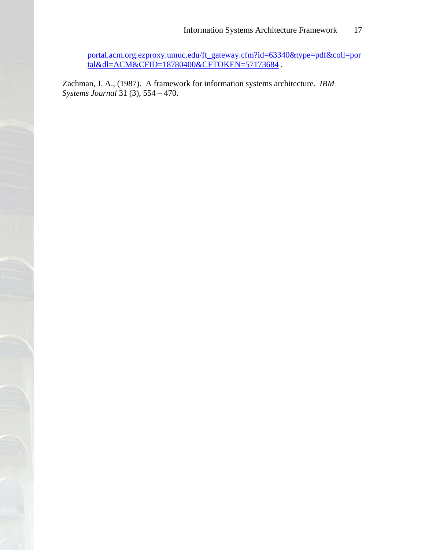[portal.acm.org.ezproxy.umuc.edu/ft\\_gateway.cfm?id=63340&type=pdf&coll=por](http://80-portal.acm.org.ezproxy.umuc.edu/ft_gateway.cfm?id=63340&type=pdf&coll=portal&dl=ACM&CFID=18780400&CFTOKEN=57173684) tal&dl=ACM&CFID=18780400&CFTOKEN=57173684.

Zachman, J. A., (1987). A framework for information systems architecture. *IBM Systems Journal* 31 (3), 554 – 470.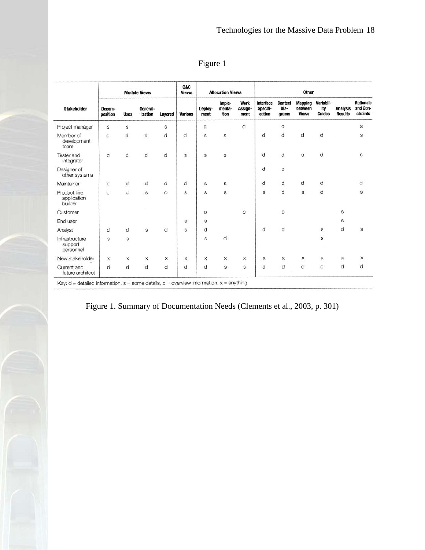<span id="page-17-0"></span>

| <b>Stakeholder</b>                     | <b>Module Views</b> |             |                     | C&C<br><b>Views</b> | <b>Allocation Views</b> |                 | Other                    |                         |                                 |                                 |                                           |                            |                                   |                                          |
|----------------------------------------|---------------------|-------------|---------------------|---------------------|-------------------------|-----------------|--------------------------|-------------------------|---------------------------------|---------------------------------|-------------------------------------------|----------------------------|-----------------------------------|------------------------------------------|
|                                        | Decom-<br>position  | <b>Uses</b> | General-<br>ization | Layered             | <b>Various</b>          | Deploy-<br>ment | Imple-<br>menta-<br>tion | Work<br>Assign-<br>ment | Interface<br>Specifi-<br>cation | <b>Context</b><br>Dia-<br>grams | <b>Mapping</b><br>between<br><b>Views</b> | Variabil-<br>ity<br>Guides | <b>Analysis</b><br><b>Results</b> | <b>Rationale</b><br>and Con-<br>straints |
| Project manager                        | S                   | S           |                     | S                   |                         | d               |                          | d                       |                                 | $\circ$                         |                                           |                            |                                   | S                                        |
| Member of<br>development<br>team       | d                   | d           | d                   | d                   | d                       | S               | S                        |                         | d                               | d                               | d                                         | d                          |                                   | S                                        |
| <b>Tester and</b><br>integrater        | d                   | d           | d                   | d                   | $\rm s$                 | S               | S                        |                         | d                               | d                               | S                                         | d                          |                                   | $\mathbf S$                              |
| Designer of<br>other systems           |                     |             |                     |                     |                         |                 |                          |                         | d                               | $\circ$                         |                                           |                            |                                   |                                          |
| Maintainer                             | d                   | d           | d                   | d                   | d                       | S               | s                        |                         | d                               | d                               | d                                         | d                          |                                   | d                                        |
| Product line<br>application<br>builder | d                   | d           | s                   | $\circ$             | S                       | S               | $\mathbb S$              |                         | s                               | d                               | $\mathbb S$                               | d                          |                                   | S                                        |
| Customer                               |                     |             |                     |                     |                         | $\circ$         |                          | $\circ$                 |                                 | $\circ$                         |                                           |                            | s                                 |                                          |
| End user                               |                     |             |                     |                     | s                       | S               |                          |                         |                                 |                                 |                                           |                            | $\mathbb S$                       |                                          |
| Analyst                                | d                   | d           | s                   | d                   | S                       | d               |                          |                         | d                               | d                               |                                           | s                          | d                                 | s                                        |
| Infrastructure<br>support<br>personnel | s                   | S           |                     |                     |                         | S               | d                        |                         |                                 |                                 |                                           | S                          |                                   |                                          |
| New stakeholder                        | ×                   | X           | x                   | X                   | X                       | X               | x                        | x                       | X                               | X                               | x                                         | x                          | x                                 | x                                        |
| Current and<br>future architect        | d                   | d           | d                   | d                   | d                       | d               | $\mathbb S$              | s                       | d                               | d                               | d                                         | d                          | d                                 | d                                        |

Figure 1. Summary of Documentation Needs (Clements et al., 2003, p. 301)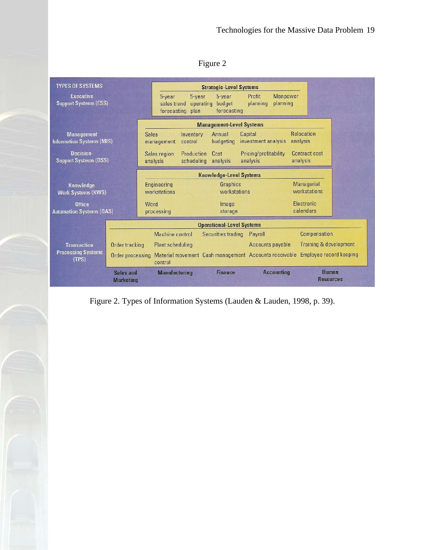# Figure 2

<span id="page-18-0"></span>

| <b>TYPES OF SYSTEMS</b>                               |                                 |                             |                                          |                                 | <b>Strategic-Level Systems</b>                        |                                   |                                   |                                   |  |  |
|-------------------------------------------------------|---------------------------------|-----------------------------|------------------------------------------|---------------------------------|-------------------------------------------------------|-----------------------------------|-----------------------------------|-----------------------------------|--|--|
| <b>Executive</b><br><b>Support Systems (ESS)</b>      |                                 |                             | $5 - year$<br>sales trend<br>forecasting | $5 - year$<br>operating<br>plan | 5-year<br>budget<br>forecasting                       | Profit<br>planning                | <b>Manpower</b><br>planning       |                                   |  |  |
|                                                       | <b>Management-Level Systems</b> |                             |                                          |                                 |                                                       |                                   |                                   |                                   |  |  |
| <b>Management</b><br><b>Information Systems (MIS)</b> |                                 | <b>Sales</b>                | management                               | Inventory<br>control            | Annual<br>budgeting                                   | Capital<br>investment analysis    |                                   | <b>Relocation</b><br>analysis     |  |  |
| Decision-<br><b>Support Systems (DSS)</b>             |                                 |                             | Sales region<br>analysis                 | Production<br>scheduling        | Cost<br>analysis                                      | Pricing/profitability<br>analysis |                                   | Contract cost<br>analysis         |  |  |
|                                                       |                                 |                             |                                          |                                 | <b>Knowledge-Level Systems</b>                        |                                   |                                   |                                   |  |  |
| Knowledge<br><b>Work Systems (KWS)</b>                |                                 | Engineering<br>workstations |                                          | Graphics<br>workstations        |                                                       |                                   | <b>Managerial</b><br>workstations |                                   |  |  |
| Office<br><b>Automation Systems (OAS)</b>             |                                 | Word                        | processing                               |                                 | Image<br>storage                                      |                                   |                                   | Electronic<br>calendars           |  |  |
|                                                       |                                 |                             |                                          |                                 | <b>Operational-Level Systems</b>                      |                                   |                                   |                                   |  |  |
|                                                       |                                 |                             | Machine control                          |                                 | Securities trading                                    | Payroll                           |                                   | Compensation                      |  |  |
| <b>Transaction</b>                                    | Order tracking                  |                             | <b>Plant scheduling</b>                  |                                 |                                                       | Accounts payable                  |                                   | <b>Training &amp; development</b> |  |  |
| <b>Processing Systems</b><br>(TPS)                    | Order processing                |                             | control                                  |                                 | Material movement Cash management Accounts receivable |                                   |                                   | Employee record keeping           |  |  |
|                                                       | Sales and<br><b>Marketing</b>   |                             | <b>Manufacturing</b>                     |                                 | <b>Finance</b>                                        |                                   | <b>Accounting</b>                 | <b>Human</b><br><b>Resources</b>  |  |  |

Figure 2. Types of Information Systems (Lauden & Lauden, 1998, p. 39).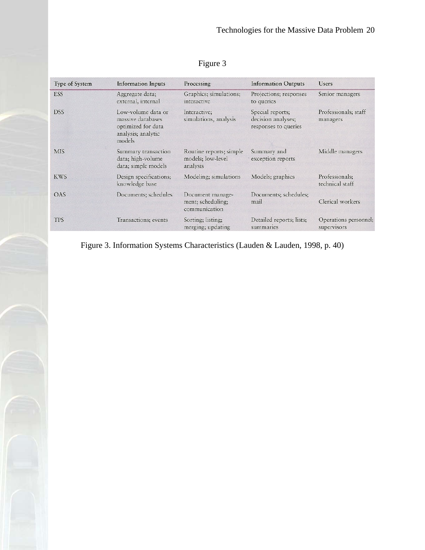<span id="page-19-0"></span>

| <b>Type of System</b> | <b>Information Inputs</b>                                                                     | Processing                                               | <b>Information Outputs</b>                                     | <b>Users</b>                         |
|-----------------------|-----------------------------------------------------------------------------------------------|----------------------------------------------------------|----------------------------------------------------------------|--------------------------------------|
| <b>ESS</b>            | Aggregate data;<br>external, internal                                                         | Graphics; simulations;<br>interactive                    | Projections; responses<br>to queries                           | Senior managers                      |
| <b>DSS</b>            | Low-volume data or<br>massive databases<br>optimized for data<br>analysis; analytic<br>models | Interactive;<br>simulations, analysis                    | Special reports;<br>decision analyses;<br>responses to queries | Professionals; staff<br>managers     |
| <b>MIS</b>            | Summary transaction<br>data; high-volume<br>data; simple models                               | Routine reports; simple<br>models; low-level<br>analysis | Summary and<br>exception reports                               | Middle managers                      |
| <b>KWS</b>            | Design specifications;<br>knowledge base                                                      | Modeling; simulations                                    | Models; graphics                                               | Professionals;<br>technical staff    |
| OAS                   | Documents; schedules                                                                          | Document manage-<br>ment; scheduling;<br>communication   | Documents; schedules;<br>mail                                  | Clerical workers                     |
| <b>TPS</b>            | Transactions; events                                                                          | Sorting; listing;<br>merging; updating                   | Detailed reports; lists;<br>summaries                          | Operations personnel;<br>supervisors |

# Figure 3

Figure 3. Information Systems Characteristics (Lauden & Lauden, 1998, p. 40)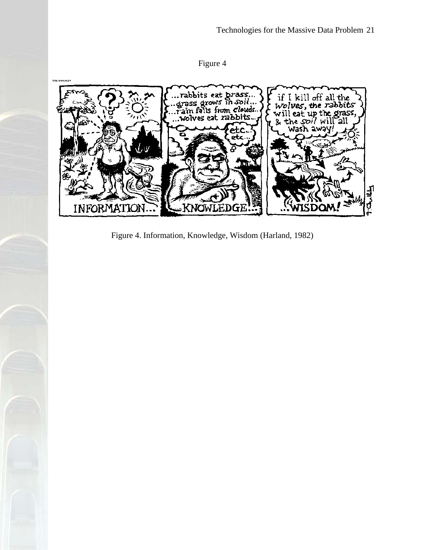Figure 4

<span id="page-20-0"></span>

Figure 4. Information, Knowledge, Wisdom (Harland, 1982)